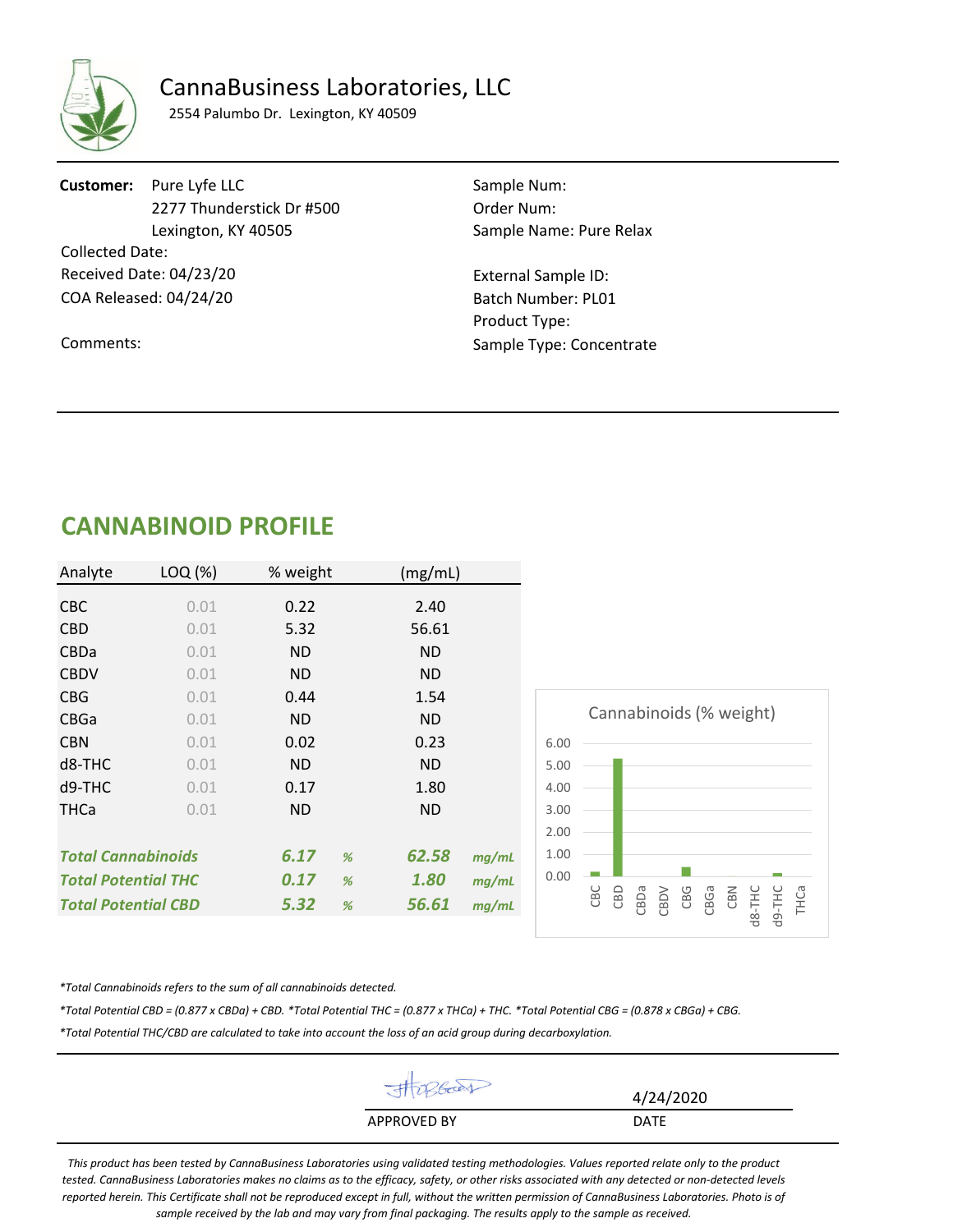

## CannaBusiness Laboratories, LLC

2554 Palumbo Dr. Lexington, KY 40509

**Customer:** Pure Lyfe LLC Sample Num: 2277 Thunderstick Dr #500 Order Num: Lexington, KY 40505 Sample Name: Pure Relax Collected Date: Received Date: 04/23/20

Comments:

COA Released: 04/24/20

External Sample ID: Batch Number: PL01 Product Type: Sample Type: Concentrate

# **CANNABINOID PROFILE**

| Analyte                    | LOQ (%) | % weight  | (mg/mL)        |                                                                                |
|----------------------------|---------|-----------|----------------|--------------------------------------------------------------------------------|
| <b>CBC</b>                 | 0.01    | 0.22      | 2.40           |                                                                                |
| <b>CBD</b>                 | 0.01    | 5.32      | 56.61          |                                                                                |
| <b>CBDa</b>                | 0.01    | <b>ND</b> | ND.            |                                                                                |
| <b>CBDV</b>                | 0.01    | <b>ND</b> | ND.            |                                                                                |
| <b>CBG</b>                 | 0.01    | 0.44      | 1.54           |                                                                                |
| CBGa                       | 0.01    | <b>ND</b> | ND.            | Cannabinoids (% weight)                                                        |
| <b>CBN</b>                 | 0.01    | 0.02      | 0.23           | 6.00                                                                           |
| d8-THC                     | 0.01    | <b>ND</b> | ND.            | 5.00                                                                           |
| $d9-THC$                   | 0.01    | 0.17      | 1.80           | 4.00                                                                           |
| <b>THCa</b>                | 0.01    | ND.       | ND.            | 3.00                                                                           |
|                            |         |           |                | 2.00                                                                           |
| <b>Total Cannabinoids</b>  |         | 6.17<br>% | 62.58<br>mg/mL | 1.00                                                                           |
| <b>Total Potential THC</b> |         | 0.17<br>% | 1.80<br>mg/mL  | 0.00                                                                           |
| <b>Total Potential CBD</b> |         | 5.32<br>% | 56.61<br>mg/mL | d9-THC<br>CBC<br>CBD<br>CBGa<br>CBN<br>$dB-THC$<br>CBDa<br>CBG<br>THCa<br>CBDV |

*\*Total Cannabinoids refers to the sum of all cannabinoids detected.*

*\*Total Potential CBD = (0.877 x CBDa) + CBD. \*Total Potential THC = (0.877 x THCa) + THC. \*Total Potential CBG = (0.878 x CBGa) + CBG.*

*\*Total Potential THC/CBD are calculated to take into account the loss of an acid group during decarboxylation.* 

| JA up boas         | 4/24/2020   |
|--------------------|-------------|
| <b>APPROVED BY</b> | <b>DATE</b> |
|                    |             |

*This product has been tested by CannaBusiness Laboratories using validated testing methodologies. Values reported relate only to the product tested. CannaBusiness Laboratories makes no claims as to the efficacy, safety, or other risks associated with any detected or non-detected levels reported herein. This Certificate shall not be reproduced except in full, without the written permission of CannaBusiness Laboratories. Photo is of sample received by the lab and may vary from final packaging. The results apply to the sample as received.*